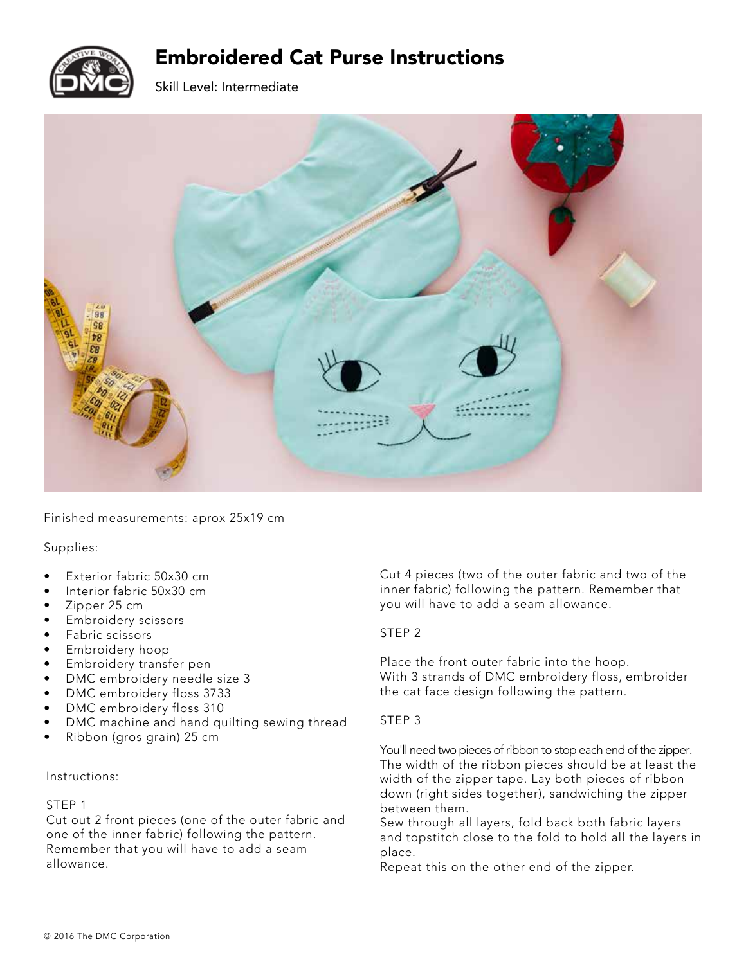

# Embroidered Cat Purse Instructions

Skill Level: Intermediate



Finished measurements: aprox 25x19 cm

Supplies:

- Exterior fabric 50x30 cm
- Interior fabric 50x30 cm
- Zipper 25 cm
- Embroidery scissors
- Fabric scissors
- Embroidery hoop
- Embroidery transfer pen
- DMC embroidery needle size 3
- DMC embroidery floss 3733
- DMC embroidery floss 310
- DMC machine and hand quilting sewing thread
- Ribbon (gros grain) 25 cm

#### Instructions:

#### STEP 1

Cut out 2 front pieces (one of the outer fabric and one of the inner fabric) following the pattern. Remember that you will have to add a seam allowance.

Cut 4 pieces (two of the outer fabric and two of the inner fabric) following the pattern. Remember that you will have to add a seam allowance.

# STEP 2

Place the front outer fabric into the hoop. With 3 strands of DMC embroidery floss, embroider the cat face design following the pattern.

#### STEP 3

You'll need two pieces of ribbon to stop each end of the zipper. The width of the ribbon pieces should be at least the width of the zipper tape. Lay both pieces of ribbon down (right sides together), sandwiching the zipper between them.

Sew through all layers, fold back both fabric layers and topstitch close to the fold to hold all the layers in place.

Repeat this on the other end of the zipper.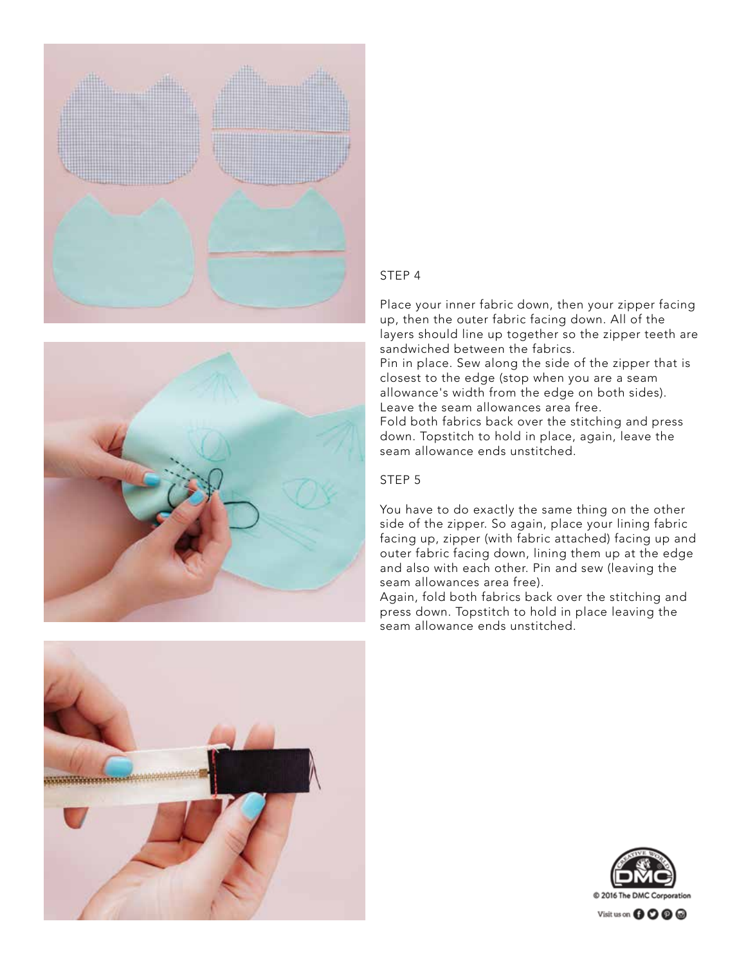



### STEP 4

Place your inner fabric down, then your zipper facing up, then the outer fabric facing down. All of the layers should line up together so the zipper teeth are sandwiched between the fabrics. Pin in place. Sew along the side of the zipper that is closest to the edge (stop when you are a seam allowance's width from the edge on both sides). Leave the seam allowances area free. Fold both fabrics back over the stitching and press

down. Topstitch to hold in place, again, leave the seam allowance ends unstitched.

### STEP 5

You have to do exactly the same thing on the other side of the zipper. So again, place your lining fabric facing up, zipper (with fabric attached) facing up and outer fabric facing down, lining them up at the edge and also with each other. Pin and sew (leaving the seam allowances area free).

Again, fold both fabrics back over the stitching and press down. Topstitch to hold in place leaving the seam allowance ends unstitched.





Visit us on **000** @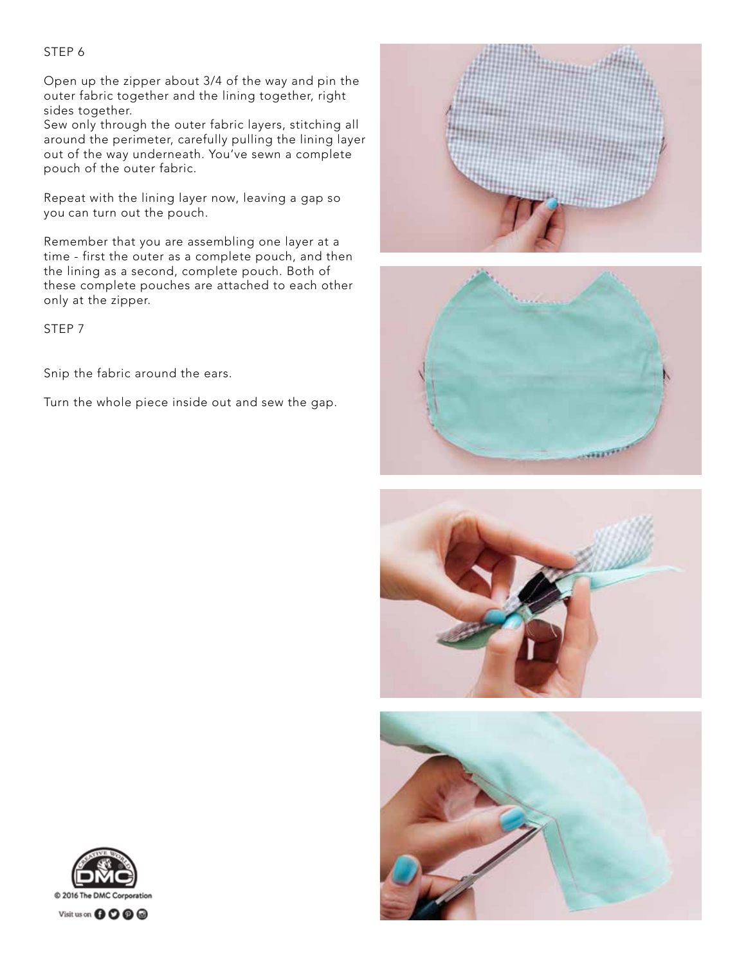## STEP 6

Open up the zipper about 3/4 of the way and pin the outer fabric together and the lining together, right sides together.

Sew only through the outer fabric layers, stitching all around the perimeter, carefully pulling the lining layer out of the way underneath. You've sewn a complete pouch of the outer fabric.

Repeat with the lining layer now, leaving a gap so you can turn out the pouch.

Remember that you are assembling one layer at a time - first the outer as a complete pouch, and then the lining as a second, complete pouch. Both of these complete pouches are attached to each other only at the zipper.

STEP 7

Snip the fabric around the ears.

Turn the whole piece inside out and sew the gap.









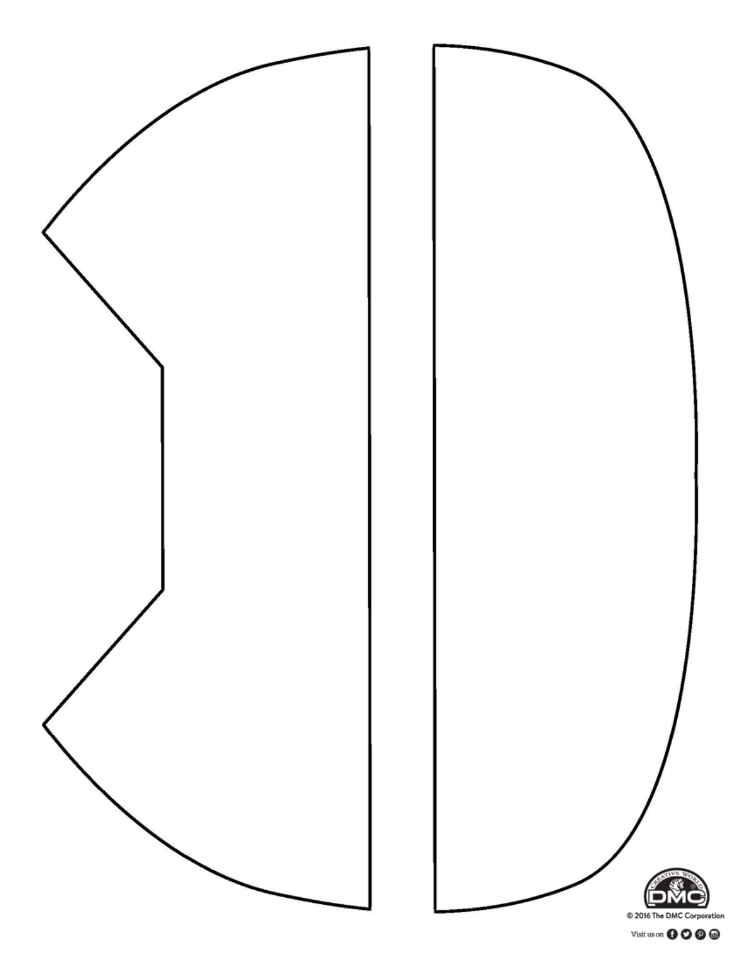